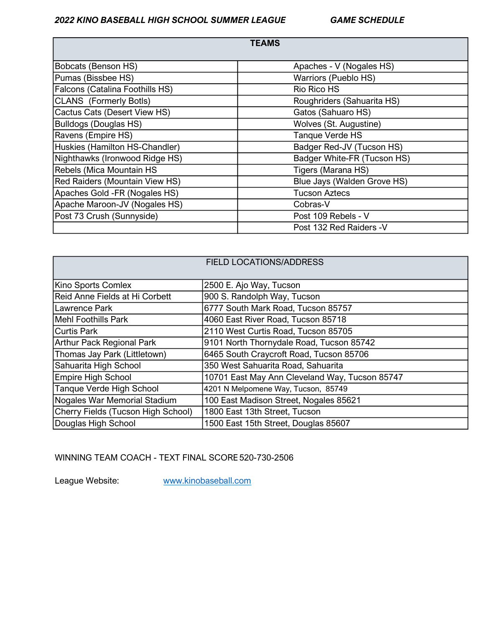# 2022 KINO BASEBALL HIGH SCHOOL SUMMER LEAGUE GAME SCHEDULE

|                                 | <b>TEAMS</b>                |
|---------------------------------|-----------------------------|
| Bobcats (Benson HS)             | Apaches - V (Nogales HS)    |
| Pumas (Bissbee HS)              | Warriors (Pueblo HS)        |
| Falcons (Catalina Foothills HS) | <b>Rio Rico HS</b>          |
| CLANS (Formerly Botls)          | Roughriders (Sahuarita HS)  |
| Cactus Cats (Desert View HS)    | Gatos (Sahuaro HS)          |
| Bulldogs (Douglas HS)           | Wolves (St. Augustine)      |
| Ravens (Empire HS)              | Tanque Verde HS             |
| Huskies (Hamilton HS-Chandler)  | Badger Red-JV (Tucson HS)   |
| Nighthawks (Ironwood Ridge HS)  | Badger White-FR (Tucson HS) |
| Rebels (Mica Mountain HS        | Tigers (Marana HS)          |
| Red Raiders (Mountain View HS)  | Blue Jays (Walden Grove HS) |
| Apaches Gold -FR (Nogales HS)   | <b>Tucson Aztecs</b>        |
| Apache Maroon-JV (Nogales HS)   | Cobras-V                    |
| Post 73 Crush (Sunnyside)       | Post 109 Rebels - V         |
|                                 | Post 132 Red Raiders - V    |

|                                    | <b>FIELD LOCATIONS/ADDRESS</b>                 |
|------------------------------------|------------------------------------------------|
|                                    |                                                |
|                                    |                                                |
| Kino Sports Comlex                 | 2500 E. Ajo Way, Tucson                        |
| Reid Anne Fields at Hi Corbett     | 900 S. Randolph Way, Tucson                    |
| Lawrence Park                      | 6777 South Mark Road, Tucson 85757             |
| Mehl Foothills Park                | 4060 East River Road, Tucson 85718             |
| Curtis Park                        | 2110 West Curtis Road, Tucson 85705            |
| <b>Arthur Pack Regional Park</b>   | 9101 North Thornydale Road, Tucson 85742       |
| Thomas Jay Park (Littletown)       | 6465 South Craycroft Road, Tucson 85706        |
| Sahuarita High School              | 350 West Sahuarita Road, Sahuarita             |
| <b>Empire High School</b>          | 10701 East May Ann Cleveland Way, Tucson 85747 |
| Tanque Verde High School           | 4201 N Melpomene Way, Tucson, 85749            |
| Nogales War Memorial Stadium       | 100 East Madison Street, Nogales 85621         |
| Cherry Fields (Tucson High School) | 1800 East 13th Street, Tucson                  |
| Douglas High School                | 1500 East 15th Street, Douglas 85607           |

# WINNING TEAM COACH - TEXT FINAL SCORE 520-730-2506

League Website: www.kinobaseball.com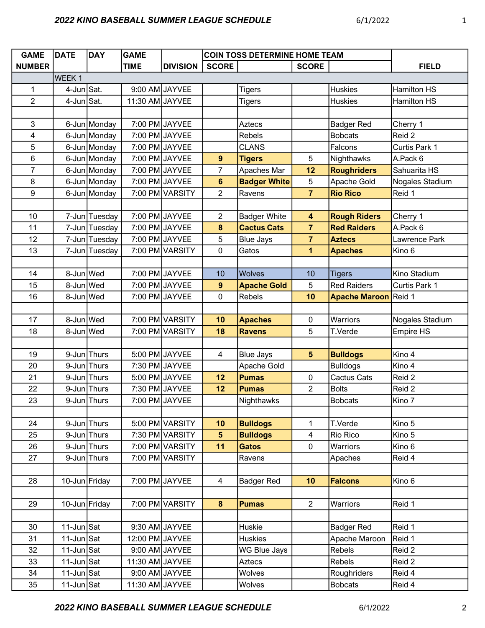| <b>GAME</b>             | <b>DATE</b>   | <b>DAY</b>    | <b>GAME</b>     |                 | <b>COIN TOSS DETERMINE HOME TEAM</b> |                     |                         |                      |                    |
|-------------------------|---------------|---------------|-----------------|-----------------|--------------------------------------|---------------------|-------------------------|----------------------|--------------------|
| <b>NUMBER</b>           |               |               | <b>TIME</b>     | <b>DIVISION</b> | <b>SCORE</b>                         |                     | <b>SCORE</b>            |                      | <b>FIELD</b>       |
|                         | WEEK 1        |               |                 |                 |                                      |                     |                         |                      |                    |
| 1                       | 4-Jun Sat.    |               |                 | 9:00 AM JAYVEE  |                                      | Tigers              |                         | <b>Huskies</b>       | Hamilton HS        |
| $\overline{2}$          | 4-Jun Sat.    |               | 11:30 AM JAYVEE |                 |                                      | <b>Tigers</b>       |                         | <b>Huskies</b>       | <b>Hamilton HS</b> |
|                         |               |               |                 |                 |                                      |                     |                         |                      |                    |
| 3                       |               | 6-Jun Monday  |                 | 7:00 PM JAYVEE  |                                      | <b>Aztecs</b>       |                         | <b>Badger Red</b>    | Cherry 1           |
| $\overline{\mathbf{4}}$ |               | 6-Jun Monday  |                 | 7:00 PM JAYVEE  |                                      | Rebels              |                         | <b>Bobcats</b>       | Reid 2             |
| 5                       |               | 6-Jun Monday  |                 | 7:00 PM JAYVEE  |                                      | <b>CLANS</b>        |                         | Falcons              | Curtis Park 1      |
| 6                       |               | 6-Jun Monday  |                 | 7:00 PM JAYVEE  | 9                                    | <b>Tigers</b>       | 5                       | Nighthawks           | A.Pack 6           |
| $\overline{7}$          |               | 6-Jun Monday  |                 | 7:00 PM JAYVEE  | $\overline{7}$                       | Apaches Mar         | 12                      | <b>Roughriders</b>   | Sahuarita HS       |
| 8                       |               | 6-Jun Monday  |                 | 7:00 PM JAYVEE  | $6\phantom{a}$                       | <b>Badger White</b> | 5                       | Apache Gold          | Nogales Stadium    |
| $\boldsymbol{9}$        |               | 6-Jun Monday  |                 | 7:00 PM VARSITY | $\overline{2}$                       | Ravens              | $\overline{7}$          | <b>Rio Rico</b>      | Reid 1             |
|                         |               |               |                 |                 |                                      |                     |                         |                      |                    |
| 10                      |               | 7-Jun Tuesday |                 | 7:00 PM JAYVEE  | $\overline{2}$                       | <b>Badger White</b> | $\overline{\mathbf{4}}$ | <b>Rough Riders</b>  | Cherry 1           |
| 11                      |               | 7-Jun Tuesday |                 | 7:00 PM JAYVEE  | 8                                    | <b>Cactus Cats</b>  | $\overline{7}$          | <b>Red Raiders</b>   | A.Pack 6           |
| 12                      |               | 7-Jun Tuesday |                 | 7:00 PM JAYVEE  | 5                                    | <b>Blue Jays</b>    | $\overline{7}$          | <b>Aztecs</b>        | Lawrence Park      |
| 13                      |               | 7-Jun Tuesday |                 | 7:00 PM VARSITY | 0                                    | Gatos               | 1                       | <b>Apaches</b>       | Kino 6             |
|                         |               |               |                 |                 |                                      |                     |                         |                      |                    |
| 14                      | 8-Jun Wed     |               |                 | 7:00 PM JAYVEE  | 10                                   | Wolves              | 10                      | <b>Tigers</b>        | Kino Stadium       |
| 15                      | 8-Jun Wed     |               |                 | 7:00 PM JAYVEE  | $\boldsymbol{9}$                     | <b>Apache Gold</b>  | 5                       | <b>Red Raiders</b>   | Curtis Park 1      |
| 16                      | 8-Jun Wed     |               |                 | 7:00 PM JAYVEE  | 0                                    | Rebels              | 10                      | <b>Apache Maroon</b> | Reid 1             |
|                         |               |               |                 |                 |                                      |                     |                         |                      |                    |
| 17                      | 8-Jun Wed     |               |                 | 7:00 PM VARSITY | 10                                   | <b>Apaches</b>      | 0                       | Warriors             | Nogales Stadium    |
| 18                      | 8-Jun Wed     |               |                 | 7:00 PM VARSITY | 18                                   | <b>Ravens</b>       | 5                       | T.Verde              | <b>Empire HS</b>   |
|                         |               |               |                 |                 |                                      |                     |                         |                      |                    |
| 19                      |               | 9-Jun Thurs   |                 | 5:00 PM JAYVEE  | 4                                    | <b>Blue Jays</b>    | 5 <sup>5</sup>          | <b>Bulldogs</b>      | Kino 4             |
| 20                      |               | 9-Jun Thurs   |                 | 7:30 PM JAYVEE  |                                      | Apache Gold         |                         | <b>Bulldogs</b>      | Kino 4             |
| 21                      |               | 9-Jun Thurs   |                 | 5:00 PM JAYVEE  | 12                                   | <b>Pumas</b>        | 0                       | <b>Cactus Cats</b>   | Reid 2             |
| 22                      |               | 9-Jun Thurs   |                 | 7:30 PM JAYVEE  | 12                                   | <b>Pumas</b>        | $\overline{2}$          | <b>Bolts</b>         | Reid 2             |
| 23                      |               | 9-Jun Thurs   |                 | 7:00 PM JAYVEE  |                                      | Nighthawks          |                         | <b>Bobcats</b>       | Kino 7             |
|                         |               |               |                 |                 |                                      |                     |                         |                      |                    |
| 24                      |               | 9-Jun Thurs   |                 | 5:00 PM VARSITY | 10                                   | <b>Bulldogs</b>     | 1                       | T.Verde              | Kino 5             |
| 25                      |               | 9-Jun Thurs   |                 | 7:30 PM VARSITY | 5 <sup>5</sup>                       | <b>Bulldogs</b>     | $\overline{4}$          | Rio Rico             | Kino 5             |
| 26                      |               | 9-Jun Thurs   |                 | 7:00 PM VARSITY | 11                                   | <b>Gatos</b>        | 0                       | Warriors             | Kino 6             |
| 27                      |               | 9-Jun Thurs   |                 | 7:00 PM VARSITY |                                      | Ravens              |                         | Apaches              | Reid 4             |
|                         |               |               |                 |                 |                                      |                     |                         |                      |                    |
| 28                      |               | 10-Jun Friday |                 | 7:00 PM JAYVEE  | $\overline{4}$                       | <b>Badger Red</b>   | 10                      | <b>Falcons</b>       | Kino 6             |
|                         |               |               |                 |                 |                                      |                     |                         |                      |                    |
| 29                      | 10-Jun Friday |               |                 | 7:00 PM VARSITY | 8                                    | <b>Pumas</b>        | $\overline{2}$          | Warriors             | Reid 1             |
|                         |               |               |                 |                 |                                      |                     |                         |                      |                    |
| 30                      | 11-Jun Sat    |               |                 | 9:30 AM JAYVEE  |                                      | Huskie              |                         | <b>Badger Red</b>    | Reid 1             |
| 31                      | 11-Jun Sat    |               | 12:00 PM JAYVEE |                 |                                      | <b>Huskies</b>      |                         | Apache Maroon        | Reid 1             |
| 32                      | 11-Jun Sat    |               |                 | 9:00 AM JAYVEE  |                                      | WG Blue Jays        |                         | Rebels               | Reid 2             |
| 33                      | 11-Jun Sat    |               | 11:30 AM JAYVEE |                 |                                      | Aztecs              |                         | Rebels               | Reid 2             |
| 34                      | 11-Jun Sat    |               |                 | 9:00 AM JAYVEE  |                                      | Wolves              |                         | Roughriders          | Reid 4             |
| 35                      | 11-Jun Sat    |               | 11:30 AM JAYVEE |                 |                                      | Wolves              |                         | <b>Bobcats</b>       | Reid 4             |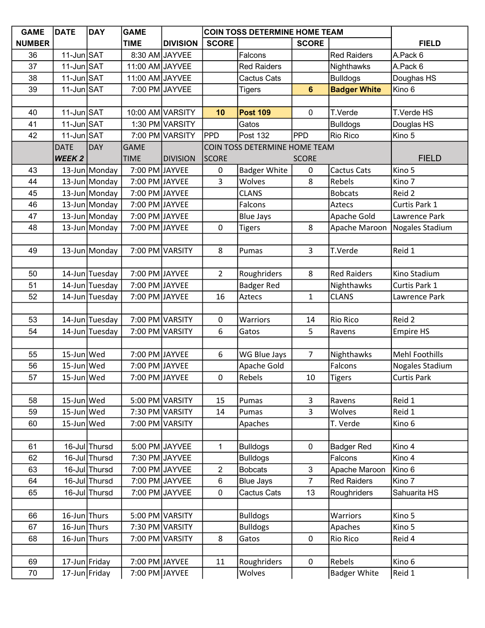| <b>GAME</b>   | <b>DATE</b>                       | <b>DAY</b>     | <b>GAME</b>     |                  | <b>COIN TOSS DETERMINE HOME TEAM</b> |                               |                |                     |                       |
|---------------|-----------------------------------|----------------|-----------------|------------------|--------------------------------------|-------------------------------|----------------|---------------------|-----------------------|
| <b>NUMBER</b> |                                   |                | <b>TIME</b>     | <b>DIVISION</b>  | <b>SCORE</b>                         |                               | <b>SCORE</b>   |                     | <b>FIELD</b>          |
| 36            | 11-Jun SAT                        |                |                 | 8:30 AM JAYVEE   |                                      | Falcons                       |                | <b>Red Raiders</b>  | A.Pack 6              |
| 37            | $11$ -Jun SAT                     |                | 11:00 AM JAYVEE |                  |                                      | <b>Red Raiders</b>            |                | Nighthawks          | A.Pack 6              |
| 38            | 11-Jun SAT                        |                | 11:00 AM JAYVEE |                  |                                      | Cactus Cats                   |                | <b>Bulldogs</b>     | Doughas HS            |
| 39            | 11-Jun SAT                        |                |                 | 7:00 PM JAYVEE   |                                      | <b>Tigers</b>                 | $6\phantom{1}$ | <b>Badger White</b> | Kino 6                |
|               |                                   |                |                 |                  |                                      |                               |                |                     |                       |
| 40            | 11-Jun SAT                        |                |                 | 10:00 AM VARSITY | 10                                   | <b>Post 109</b>               | 0              | T.Verde             | T.Verde HS            |
| 41            | $11$ -Jun $\overline{\text{SAT}}$ |                |                 | 1:30 PM VARSITY  |                                      | Gatos                         |                | <b>Bulldogs</b>     | Douglas HS            |
| 42            | 11-Jun SAT                        |                |                 | 7:00 PM VARSITY  | PPD                                  | Post 132                      | <b>PPD</b>     | <b>Rio Rico</b>     | Kino 5                |
|               | <b>DATE</b>                       | <b>DAY</b>     | <b>GAME</b>     |                  |                                      | COIN TOSS DETERMINE HOME TEAM |                |                     |                       |
|               | <b>WEEK2</b>                      |                | <b>TIME</b>     | <b>DIVISION</b>  | <b>SCORE</b>                         |                               | <b>SCORE</b>   |                     | <b>FIELD</b>          |
| 43            |                                   | 13-Jun Monday  | 7:00 PM JAYVEE  |                  | 0                                    | <b>Badger White</b>           | 0              | Cactus Cats         | Kino 5                |
| 44            |                                   | 13-Jun Monday  | 7:00 PM JAYVEE  |                  | 3                                    | Wolves                        | 8              | Rebels              | Kino 7                |
| 45            |                                   | 13-Jun Monday  | 7:00 PM JAYVEE  |                  |                                      | <b>CLANS</b>                  |                | <b>Bobcats</b>      | Reid 2                |
| 46            |                                   | 13-Jun Monday  | 7:00 PM JAYVEE  |                  |                                      | Falcons                       |                | Aztecs              | Curtis Park 1         |
| 47            |                                   | 13-Jun Monday  | 7:00 PM JAYVEE  |                  |                                      | <b>Blue Jays</b>              |                | Apache Gold         | Lawrence Park         |
| 48            |                                   | 13-Jun Monday  | 7:00 PM JAYVEE  |                  | 0                                    | <b>Tigers</b>                 | 8              | Apache Maroon       | Nogales Stadium       |
|               |                                   |                |                 |                  |                                      |                               |                |                     |                       |
| 49            |                                   | 13-Jun Monday  |                 | 7:00 PM VARSITY  | 8                                    | Pumas                         | 3              | T.Verde             | Reid 1                |
|               |                                   |                |                 |                  |                                      |                               |                |                     |                       |
| 50            |                                   | 14-Jun Tuesday | 7:00 PM JAYVEE  |                  | $\overline{2}$                       | Roughriders                   | 8              | <b>Red Raiders</b>  | Kino Stadium          |
| 51            |                                   | 14-Jun Tuesday | 7:00 PM JAYVEE  |                  |                                      | <b>Badger Red</b>             |                | Nighthawks          | Curtis Park 1         |
| 52            |                                   | 14-Jun Tuesday | 7:00 PM JAYVEE  |                  | 16                                   | Aztecs                        | $\mathbf{1}$   | <b>CLANS</b>        | Lawrence Park         |
|               |                                   |                |                 |                  |                                      |                               |                |                     |                       |
| 53            |                                   | 14-Jun Tuesday |                 | 7:00 PM VARSITY  | 0                                    | Warriors                      | 14             | <b>Rio Rico</b>     | Reid 2                |
| 54            |                                   | 14-Jun Tuesday |                 | 7:00 PM VARSITY  | 6                                    | Gatos                         | 5              | Ravens              | <b>Empire HS</b>      |
|               |                                   |                |                 |                  |                                      |                               |                |                     |                       |
| 55            | $15$ -Jun Wed                     |                | 7:00 PM JAYVEE  |                  | 6                                    | WG Blue Jays                  | $\overline{7}$ | Nighthawks          | <b>Mehl Foothills</b> |
| 56            | 15-Jun Wed                        |                | 7:00 PM JAYVEE  |                  |                                      | Apache Gold                   |                | Falcons             | Nogales Stadium       |
| 57            | 15-Jun Wed                        |                | 7:00 PM JAYVEE  |                  | 0                                    | Rebels                        | 10             | <b>Tigers</b>       | <b>Curtis Park</b>    |
|               |                                   |                |                 |                  |                                      |                               |                |                     |                       |
| 58            | $15$ -Jun Wed                     |                |                 | 5:00 PM VARSITY  | 15                                   | Pumas                         | $\overline{3}$ | Ravens              | Reid 1                |
| 59            | $15$ -Jun Wed                     |                |                 | 7:30 PM VARSITY  | 14                                   | Pumas                         | 3              | Wolves              | Reid 1                |
| 60            | 15-Jun Wed                        |                |                 | 7:00 PM VARSITY  |                                      | Apaches                       |                | T. Verde            | Kino 6                |
|               |                                   |                |                 |                  |                                      |                               |                |                     |                       |
| 61            |                                   | 16-Jul Thursd  |                 | 5:00 PM JAYVEE   | 1                                    | <b>Bulldogs</b>               | $\mathbf 0$    | <b>Badger Red</b>   | Kino 4                |
| 62            |                                   | 16-Jul Thursd  |                 | 7:30 PM JAYVEE   |                                      | <b>Bulldogs</b>               |                | Falcons             | Kino 4                |
| 63            |                                   | 16-Jul Thursd  |                 | 7:00 PM JAYVEE   | $\overline{2}$                       | <b>Bobcats</b>                | 3              | Apache Maroon       | Kino 6                |
| 64            |                                   | 16-Jul Thursd  |                 | 7:00 PM JAYVEE   | 6                                    | <b>Blue Jays</b>              | $\overline{7}$ | <b>Red Raiders</b>  | Kino 7                |
| 65            |                                   | 16-Jul Thursd  |                 | 7:00 PM JAYVEE   | $\pmb{0}$                            | Cactus Cats                   | 13             | Roughriders         | Sahuarita HS          |
|               |                                   |                |                 |                  |                                      |                               |                |                     |                       |
| 66            | 16-Jun Thurs                      |                |                 | 5:00 PM VARSITY  |                                      | <b>Bulldogs</b>               |                | Warriors            | Kino 5                |
| 67            | 16-Jun Thurs                      |                |                 | 7:30 PM VARSITY  |                                      | <b>Bulldogs</b>               |                | Apaches             | Kino 5                |
| 68            | 16-Jun Thurs                      |                |                 | 7:00 PM VARSITY  | 8                                    | Gatos                         | $\mathbf 0$    | <b>Rio Rico</b>     | Reid 4                |
|               |                                   |                |                 |                  |                                      |                               |                |                     |                       |
| 69            | 17-Jun Friday                     |                | 7:00 PM JAYVEE  |                  | 11                                   | Roughriders                   | $\mathbf 0$    | Rebels              | Kino 6                |
| $70\,$        |                                   | 17-Jun Friday  | 7:00 PM JAYVEE  |                  |                                      | Wolves                        |                | <b>Badger White</b> | Reid 1                |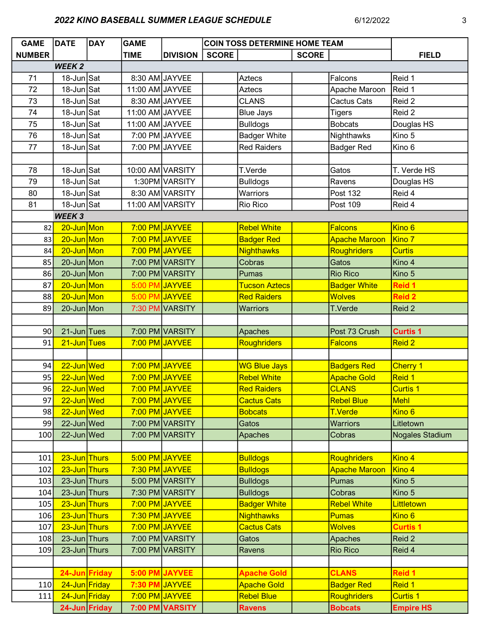# 2022 KINO BASEBALL SUMMER LEAGUE SCHEDULE 6/12/2022 3

| <b>GAME</b>   | <b>DATE</b>              | <b>DAY</b> | <b>GAME</b>     | <b>COIN TOSS DETERMINE HOME TEAM</b> |              |                      |              |                      |                        |
|---------------|--------------------------|------------|-----------------|--------------------------------------|--------------|----------------------|--------------|----------------------|------------------------|
| <b>NUMBER</b> |                          |            | <b>TIME</b>     | <b>DIVISION</b>                      | <b>SCORE</b> |                      | <b>SCORE</b> |                      | <b>FIELD</b>           |
|               | <b>WEEK2</b>             |            |                 |                                      |              |                      |              |                      |                        |
| 71            | 18-Jun Sat               |            |                 | 8:30 AM JAYVEE                       |              | <b>Aztecs</b>        |              | Falcons              | Reid 1                 |
| 72            | $18$ -Jun $\textsf{Sat}$ |            | 11:00 AM JAYVEE |                                      |              | <b>Aztecs</b>        |              | Apache Maroon        | Reid 1                 |
| 73            | 18-Jun Sat               |            |                 | 8:30 AM JAYVEE                       |              | <b>CLANS</b>         |              | <b>Cactus Cats</b>   | Reid 2                 |
| 74            | 18-Jun Sat               |            | 11:00 AM JAYVEE |                                      |              | <b>Blue Jays</b>     |              | <b>Tigers</b>        | Reid 2                 |
| 75            | 18-Jun Sat               |            | 11:00 AM JAYVEE |                                      |              | <b>Bulldogs</b>      |              | <b>Bobcats</b>       | Douglas HS             |
| 76            | 18-Jun Sat               |            |                 | 7:00 PM JAYVEE                       |              | <b>Badger White</b>  |              | Nighthawks           | Kino 5                 |
| 77            | 18-Jun Sat               |            |                 | 7:00 PM JAYVEE                       |              | <b>Red Raiders</b>   |              | <b>Badger Red</b>    | Kino 6                 |
|               |                          |            |                 |                                      |              |                      |              |                      |                        |
| 78            | 18-Jun Sat               |            |                 | 10:00 AM VARSITY                     |              | T.Verde              |              | Gatos                | T. Verde HS            |
| 79            | 18-Jun Sat               |            |                 | 1:30PM VARSITY                       |              | <b>Bulldogs</b>      |              | Ravens               | Douglas HS             |
| 80            | $18$ -Jun Sat            |            |                 | 8:30 AM VARSITY                      |              | Warriors             |              | Post 132             | Reid 4                 |
| 81            | 18-Jun Sat               |            |                 | 11:00 AM VARSITY                     |              | <b>Rio Rico</b>      |              | Post 109             | Reid 4                 |
|               | <b>WEEK3</b>             |            |                 |                                      |              |                      |              |                      |                        |
| 82            | 20-Jun Mon               |            |                 | 7:00 PM JAYVEE                       |              | <b>Rebel White</b>   |              | <b>Falcons</b>       | Kino 6                 |
| 83            | 20-Jun Mon               |            |                 | 7:00 PM JAYVEE                       |              | <b>Badger Red</b>    |              | <b>Apache Maroon</b> | Kino 7                 |
| 84            | 20-Jun Mon               |            |                 | 7:00 PM JAYVEE                       |              | <b>Nighthawks</b>    |              | Roughriders          | <b>Curtis</b>          |
| 85            | $20$ -Jun Mon            |            |                 | 7:00 PM VARSITY                      |              | Cobras               |              | Gatos                | Kino 4                 |
| 86            | $20$ -Jun Mon            |            |                 | 7:00 PM VARSITY                      |              | Pumas                |              | <b>Rio Rico</b>      | Kino 5                 |
| 87            | 20-Jun Mon               |            | 5:00 PM         | <b>JAYVEE</b>                        |              | <b>Tucson Aztecs</b> |              | <b>Badger White</b>  | <b>Reid 1</b>          |
| 88            | 20-Jun Mon               |            | 5:00 PM         | <b>JAYVEE</b>                        |              | <b>Red Raiders</b>   |              | <b>Wolves</b>        | <b>Reid 2</b>          |
| 89            | 20-Jun Mon               |            |                 | 7:30 PM VARSITY                      |              | <b>Warriors</b>      |              | T.Verde              | Reid 2                 |
|               |                          |            |                 |                                      |              |                      |              |                      |                        |
| 90            | 21-Jun Tues              |            |                 | 7:00 PM VARSITY                      |              | Apaches              |              | Post 73 Crush        | <b>Curtis 1</b>        |
| 91            | 21-Jun Tues              |            |                 | 7:00 PM JAYVEE                       |              | <b>Roughriders</b>   |              | <b>Falcons</b>       | Reid 2                 |
|               |                          |            |                 |                                      |              |                      |              |                      |                        |
| 94            | 22-Jun Wed               |            |                 | 7:00 PM JAYVEE                       |              | <b>WG Blue Jays</b>  |              | <b>Badgers Red</b>   | <b>Cherry 1</b>        |
| 95            | 22-Jun Wed               |            |                 | 7:00 PM JAYVEE                       |              | <b>Rebel White</b>   |              | <b>Apache Gold</b>   | Reid 1                 |
| 96            | 22-Jun Wed               |            |                 | 7:00 PM JAYVEE                       |              | <b>Red Raiders</b>   |              | <b>CLANS</b>         | Curtis 1               |
| 97            | 22-Jun Wed               |            |                 | 7:00 PM JAYVEE                       |              | <b>Cactus Cats</b>   |              | <b>Rebel Blue</b>    | Mehl                   |
| 98            | 22-Jun Wed               |            |                 | 7:00 PM JAYVEE                       |              | <b>Bobcats</b>       |              | <b>T.Verde</b>       | Kino <sub>6</sub>      |
| 99            | $22$ -Jun Wed            |            |                 | 7:00 PM VARSITY                      |              | Gatos                |              | <b>Warriors</b>      | Litletown              |
| 100           | 22-Jun Wed               |            |                 | 7:00 PM VARSITY                      |              | Apaches              |              | Cobras               | <b>Nogales Stadium</b> |
|               |                          |            |                 |                                      |              |                      |              |                      |                        |
| 101           | 23-Jun Thurs             |            |                 | 5:00 PM JAYVEE                       |              | <b>Bulldogs</b>      |              | <b>Roughriders</b>   | Kino 4                 |
| 102           | 23-Jun Thurs             |            |                 | 7:30 PM JAYVEE                       |              | <b>Bulldogs</b>      |              | <b>Apache Maroon</b> | Kino 4                 |
| 103           | 23-Jun Thurs             |            |                 | 5:00 PM VARSITY                      |              | <b>Bulldogs</b>      |              | Pumas                | Kino 5                 |
| 104           | 23-Jun Thurs             |            |                 | 7:30 PM VARSITY                      |              | <b>Bulldogs</b>      |              | Cobras               | Kino 5                 |
| 105           | 23-Jun Thurs             |            |                 | 7:00 PM JAYVEE                       |              | <b>Badger White</b>  |              | <b>Rebel White</b>   | Littletown             |
| 106           | 23-Jun Thurs             |            |                 | 7:30 PM JAYVEE                       |              | <b>Nighthawks</b>    |              | <b>Pumas</b>         | Kino <sub>6</sub>      |
| 107           | 23-Jun Thurs             |            |                 | 7:00 PM JAYVEE                       |              | <b>Cactus Cats</b>   |              | <b>Wolves</b>        | <b>Curtis 1</b>        |
| 108           | 23-Jun Thurs             |            |                 | 7:00 PM VARSITY                      |              | Gatos                |              | Apaches              | Reid 2                 |
| 109           | 23-Jun Thurs             |            |                 | 7:00 PM VARSITY                      |              | Ravens               |              | <b>Rio Rico</b>      | Reid 4                 |
|               |                          |            |                 |                                      |              |                      |              |                      |                        |
|               | 24-Jun Friday            |            |                 | 5:00 PM JAYVEE                       |              | <b>Apache Gold</b>   |              | <b>CLANS</b>         | <b>Reid 1</b>          |
| 110           | 24-Jun Friday            |            |                 | 7:30 PM JAYVEE                       |              | <b>Apache Gold</b>   |              | <b>Badger Red</b>    | Reid 1                 |
| 111           | 24-Jun Friday            |            |                 | 7:00 PM JAYVEE                       |              | <b>Rebel Blue</b>    |              | <b>Roughriders</b>   | <b>Curtis 1</b>        |
|               | 24-Jun Friday            |            |                 | 7:00 PM VARSITY                      |              | <b>Ravens</b>        |              | <b>Bobcats</b>       | <b>Empire HS</b>       |